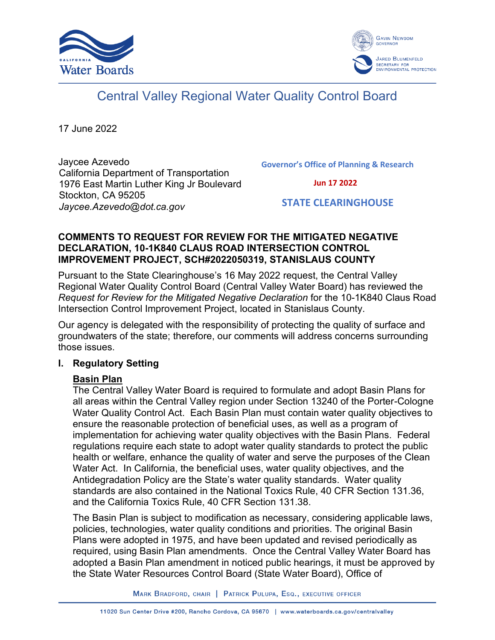



# Central Valley Regional Water Quality Control Board

17 June 2022

Jaycee Azevedo California Department of Transportation 1976 East Martin Luther King Jr Boulevard Stockton, CA 95205 *Jaycee.Azevedo@dot.ca.gov*

**Governor's Office of Planning & Research**

 **Jun 17 2022**

 **STATE CLEARINGHOUSE**

#### **COMMENTS TO REQUEST FOR REVIEW FOR THE MITIGATED NEGATIVE DECLARATION, 10-1K840 CLAUS ROAD INTERSECTION CONTROL IMPROVEMENT PROJECT, SCH#2022050319, STANISLAUS COUNTY**

Pursuant to the State Clearinghouse's 16 May 2022 request, the Central Valley Regional Water Quality Control Board (Central Valley Water Board) has reviewed the *Request for Review for the Mitigated Negative Declaration* for the 10-1K840 Claus Road Intersection Control Improvement Project, located in Stanislaus County.

Our agency is delegated with the responsibility of protecting the quality of surface and groundwaters of the state; therefore, our comments will address concerns surrounding those issues.

#### **I. Regulatory Setting**

## **Basin Plan**

The Central Valley Water Board is required to formulate and adopt Basin Plans for all areas within the Central Valley region under Section 13240 of the Porter-Cologne Water Quality Control Act. Each Basin Plan must contain water quality objectives to ensure the reasonable protection of beneficial uses, as well as a program of implementation for achieving water quality objectives with the Basin Plans. Federal regulations require each state to adopt water quality standards to protect the public health or welfare, enhance the quality of water and serve the purposes of the Clean Water Act. In California, the beneficial uses, water quality objectives, and the Antidegradation Policy are the State's water quality standards. Water quality standards are also contained in the National Toxics Rule, 40 CFR Section 131.36, and the California Toxics Rule, 40 CFR Section 131.38.

The Basin Plan is subject to modification as necessary, considering applicable laws, policies, technologies, water quality conditions and priorities. The original Basin Plans were adopted in 1975, and have been updated and revised periodically as required, using Basin Plan amendments. Once the Central Valley Water Board has adopted a Basin Plan amendment in noticed public hearings, it must be approved by the State Water Resources Control Board (State Water Board), Office of

MARK BRADFORD, CHAIR | PATRICK PULUPA, ESQ., EXECUTIVE OFFICER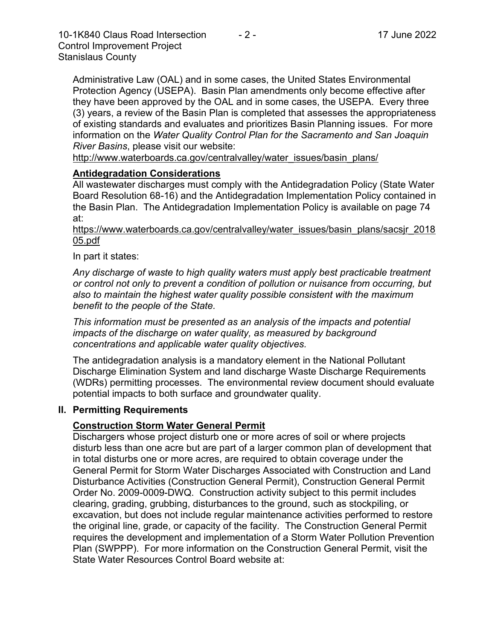Administrative Law (OAL) and in some cases, the United States Environmental Protection Agency (USEPA). Basin Plan amendments only become effective after they have been approved by the OAL and in some cases, the USEPA. Every three (3) years, a review of the Basin Plan is completed that assesses the appropriateness of existing standards and evaluates and prioritizes Basin Planning issues. For more information on the *Water Quality Control Plan for the Sacramento and San Joaquin River Basins*, please visit our website:

[http://www.waterboards.ca.gov/centralvalley/water\\_issues/basin\\_plans/](http://www.waterboards.ca.gov/centralvalley/water_issues/basin_plans/)

#### **Antidegradation Considerations**

All wastewater discharges must comply with the Antidegradation Policy (State Water Board Resolution 68-16) and the Antidegradation Implementation Policy contained in the Basin Plan. The Antidegradation Implementation Policy is available on page 74 at:

https://www.waterboards.ca.gov/centralvalley/water\_issues/basin\_plans/sacsjr\_2018 05.pdf

In part it states:

*Any discharge of waste to high quality waters must apply best practicable treatment or control not only to prevent a condition of pollution or nuisance from occurring, but also to maintain the highest water quality possible consistent with the maximum benefit to the people of the State.*

*This information must be presented as an analysis of the impacts and potential impacts of the discharge on water quality, as measured by background concentrations and applicable water quality objectives.*

The antidegradation analysis is a mandatory element in the National Pollutant Discharge Elimination System and land discharge Waste Discharge Requirements (WDRs) permitting processes. The environmental review document should evaluate potential impacts to both surface and groundwater quality.

#### **II. Permitting Requirements**

## **Construction Storm Water General Permit**

Dischargers whose project disturb one or more acres of soil or where projects disturb less than one acre but are part of a larger common plan of development that in total disturbs one or more acres, are required to obtain coverage under the General Permit for Storm Water Discharges Associated with Construction and Land Disturbance Activities (Construction General Permit), Construction General Permit Order No. 2009-0009-DWQ. Construction activity subject to this permit includes clearing, grading, grubbing, disturbances to the ground, such as stockpiling, or excavation, but does not include regular maintenance activities performed to restore the original line, grade, or capacity of the facility. The Construction General Permit requires the development and implementation of a Storm Water Pollution Prevention Plan (SWPPP). For more information on the Construction General Permit, visit the State Water Resources Control Board website at: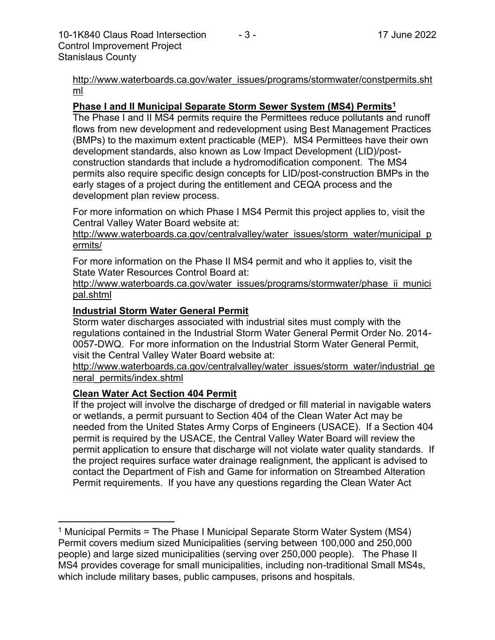[http://www.waterboards.ca.gov/water\\_issues/programs/stormwater/constpermits.sht](http://www.waterboards.ca.gov/water_issues/programs/stormwater/constpermits.shtml) [ml](http://www.waterboards.ca.gov/water_issues/programs/stormwater/constpermits.shtml)

#### **Phase I and II Municipal Separate Storm Sewer System (MS4) Permits<sup>1</sup>**

The Phase I and II MS4 permits require the Permittees reduce pollutants and runoff flows from new development and redevelopment using Best Management Practices (BMPs) to the maximum extent practicable (MEP). MS4 Permittees have their own development standards, also known as Low Impact Development (LID)/postconstruction standards that include a hydromodification component. The MS4 permits also require specific design concepts for LID/post-construction BMPs in the early stages of a project during the entitlement and CEQA process and the development plan review process.

For more information on which Phase I MS4 Permit this project applies to, visit the Central Valley Water Board website at:

http://www.waterboards.ca.gov/centralvalley/water\_issues/storm\_water/municipal\_p ermits/

For more information on the Phase II MS4 permit and who it applies to, visit the State Water Resources Control Board at:

http://www.waterboards.ca.gov/water\_issues/programs/stormwater/phase\_ii\_munici pal.shtml

#### **Industrial Storm Water General Permit**

Storm water discharges associated with industrial sites must comply with the regulations contained in the Industrial Storm Water General Permit Order No. 2014- 0057-DWQ. For more information on the Industrial Storm Water General Permit, visit the Central Valley Water Board website at:

http://www.waterboards.ca.gov/centralvalley/water\_issues/storm\_water/industrial\_ge neral\_permits/index.shtml

#### **Clean Water Act Section 404 Permit**

If the project will involve the discharge of dredged or fill material in navigable waters or wetlands, a permit pursuant to Section 404 of the Clean Water Act may be needed from the United States Army Corps of Engineers (USACE). If a Section 404 permit is required by the USACE, the Central Valley Water Board will review the permit application to ensure that discharge will not violate water quality standards. If the project requires surface water drainage realignment, the applicant is advised to contact the Department of Fish and Game for information on Streambed Alteration Permit requirements. If you have any questions regarding the Clean Water Act

<sup>&</sup>lt;sup>1</sup> Municipal Permits = The Phase I Municipal Separate Storm Water System (MS4) Permit covers medium sized Municipalities (serving between 100,000 and 250,000 people) and large sized municipalities (serving over 250,000 people). The Phase II MS4 provides coverage for small municipalities, including non-traditional Small MS4s, which include military bases, public campuses, prisons and hospitals.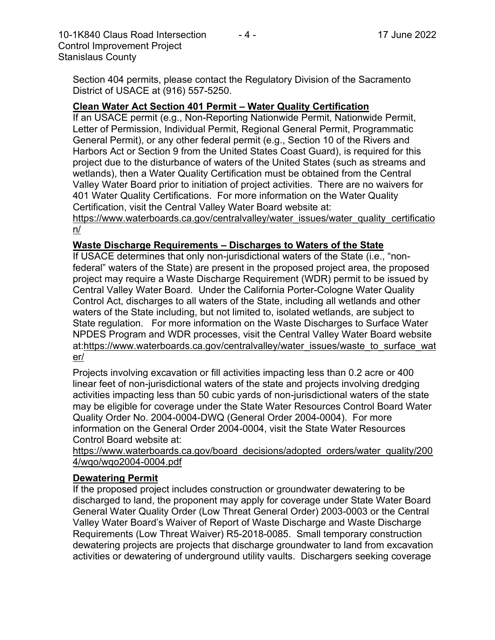10-1K840 Claus Road Intersection - 4 - 17 June 2022 Control Improvement Project Stanislaus County

Section 404 permits, please contact the Regulatory Division of the Sacramento District of USACE at (916) 557-5250.

## **Clean Water Act Section 401 Permit – Water Quality Certification**

If an USACE permit (e.g., Non-Reporting Nationwide Permit, Nationwide Permit, Letter of Permission, Individual Permit, Regional General Permit, Programmatic General Permit), or any other federal permit (e.g., Section 10 of the Rivers and Harbors Act or Section 9 from the United States Coast Guard), is required for this project due to the disturbance of waters of the United States (such as streams and wetlands), then a Water Quality Certification must be obtained from the Central Valley Water Board prior to initiation of project activities. There are no waivers for 401 Water Quality Certifications. For more information on the Water Quality Certification, visit the Central Valley Water Board website at:

https://www.waterboards.ca.gov/centralvalley/water\_issues/water\_quality\_certificatio n/

## **Waste Discharge Requirements – Discharges to Waters of the State**

If USACE determines that only non-jurisdictional waters of the State (i.e., "nonfederal" waters of the State) are present in the proposed project area, the proposed project may require a Waste Discharge Requirement (WDR) permit to be issued by Central Valley Water Board. Under the California Porter-Cologne Water Quality Control Act, discharges to all waters of the State, including all wetlands and other waters of the State including, but not limited to, isolated wetlands, are subject to State regulation. For more information on the Waste Discharges to Surface Water NPDES Program and WDR processes, visit the Central Valley Water Board website at:https://www.waterboards.ca.gov/centralvalley/water\_issues/waste\_to\_surface\_wat er/

Projects involving excavation or fill activities impacting less than 0.2 acre or 400 linear feet of non-jurisdictional waters of the state and projects involving dredging activities impacting less than 50 cubic yards of non-jurisdictional waters of the state may be eligible for coverage under the State Water Resources Control Board Water Quality Order No. 2004-0004-DWQ (General Order 2004-0004). For more information on the General Order 2004-0004, visit the State Water Resources Control Board website at:

https://www.waterboards.ca.gov/board\_decisions/adopted\_orders/water\_quality/200 4/wqo/wqo2004-0004.pdf

## **Dewatering Permit**

If the proposed project includes construction or groundwater dewatering to be discharged to land, the proponent may apply for coverage under State Water Board General Water Quality Order (Low Threat General Order) 2003-0003 or the Central Valley Water Board's Waiver of Report of Waste Discharge and Waste Discharge Requirements (Low Threat Waiver) R5-2018-0085. Small temporary construction dewatering projects are projects that discharge groundwater to land from excavation activities or dewatering of underground utility vaults. Dischargers seeking coverage